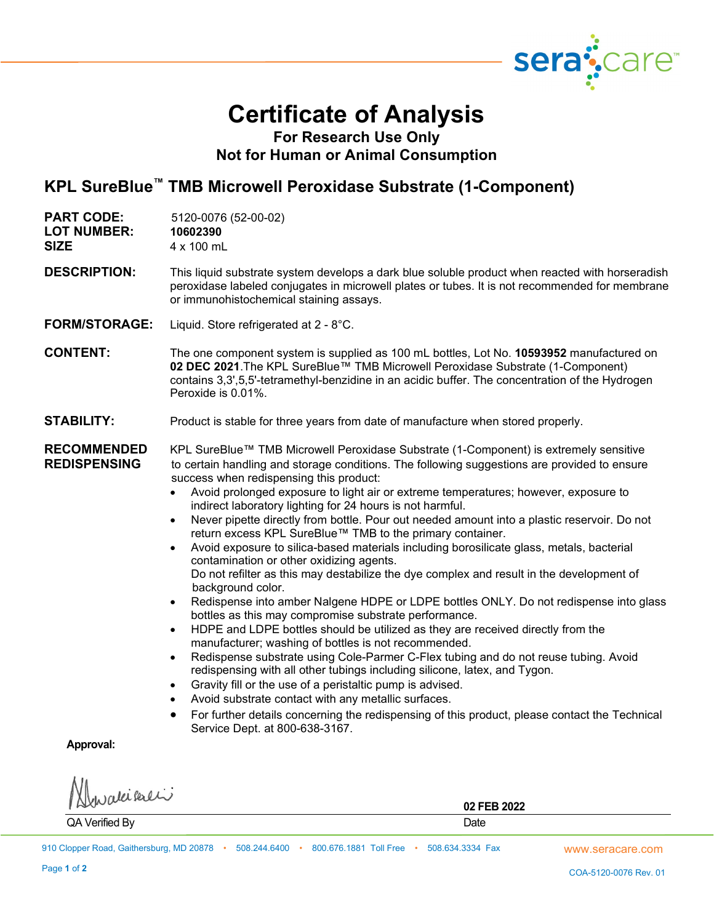

## **Certificate of Analysis**

**For Research Use Only Not for Human or Animal Consumption**

## **KPL SureBlue™ TMB Microwell Peroxidase Substrate (1-Component)**

| <b>PART CODE:</b><br><b>LOT NUMBER:</b><br><b>SIZE</b> | 5120-0076 (52-00-02)<br>10602390<br>4 x 100 mL                                                                                                                                                                                                                                                                                                                                                                                                                                                                                                                                                                                                                                                                                                                                                                                                                                                                                                                                                                                                                                                                                                                                                                                                                                                                                                                                                                                                                                                                                                                                                                       |
|--------------------------------------------------------|----------------------------------------------------------------------------------------------------------------------------------------------------------------------------------------------------------------------------------------------------------------------------------------------------------------------------------------------------------------------------------------------------------------------------------------------------------------------------------------------------------------------------------------------------------------------------------------------------------------------------------------------------------------------------------------------------------------------------------------------------------------------------------------------------------------------------------------------------------------------------------------------------------------------------------------------------------------------------------------------------------------------------------------------------------------------------------------------------------------------------------------------------------------------------------------------------------------------------------------------------------------------------------------------------------------------------------------------------------------------------------------------------------------------------------------------------------------------------------------------------------------------------------------------------------------------------------------------------------------------|
| <b>DESCRIPTION:</b>                                    | This liquid substrate system develops a dark blue soluble product when reacted with horseradish<br>peroxidase labeled conjugates in microwell plates or tubes. It is not recommended for membrane<br>or immunohistochemical staining assays.                                                                                                                                                                                                                                                                                                                                                                                                                                                                                                                                                                                                                                                                                                                                                                                                                                                                                                                                                                                                                                                                                                                                                                                                                                                                                                                                                                         |
| <b>FORM/STORAGE:</b>                                   | Liquid. Store refrigerated at 2 - 8°C.                                                                                                                                                                                                                                                                                                                                                                                                                                                                                                                                                                                                                                                                                                                                                                                                                                                                                                                                                                                                                                                                                                                                                                                                                                                                                                                                                                                                                                                                                                                                                                               |
| <b>CONTENT:</b>                                        | The one component system is supplied as 100 mL bottles, Lot No. 10593952 manufactured on<br>02 DEC 2021. The KPL SureBlue™ TMB Microwell Peroxidase Substrate (1-Component)<br>contains 3,3',5,5'-tetramethyl-benzidine in an acidic buffer. The concentration of the Hydrogen<br>Peroxide is 0.01%.                                                                                                                                                                                                                                                                                                                                                                                                                                                                                                                                                                                                                                                                                                                                                                                                                                                                                                                                                                                                                                                                                                                                                                                                                                                                                                                 |
| <b>STABILITY:</b>                                      | Product is stable for three years from date of manufacture when stored properly.                                                                                                                                                                                                                                                                                                                                                                                                                                                                                                                                                                                                                                                                                                                                                                                                                                                                                                                                                                                                                                                                                                                                                                                                                                                                                                                                                                                                                                                                                                                                     |
| <b>RECOMMENDED</b><br><b>REDISPENSING</b>              | KPL SureBlue™ TMB Microwell Peroxidase Substrate (1-Component) is extremely sensitive<br>to certain handling and storage conditions. The following suggestions are provided to ensure<br>success when redispensing this product:<br>Avoid prolonged exposure to light air or extreme temperatures; however, exposure to<br>indirect laboratory lighting for 24 hours is not harmful.<br>Never pipette directly from bottle. Pour out needed amount into a plastic reservoir. Do not<br>$\bullet$<br>return excess KPL SureBlue™ TMB to the primary container.<br>Avoid exposure to silica-based materials including borosilicate glass, metals, bacterial<br>$\bullet$<br>contamination or other oxidizing agents.<br>Do not refilter as this may destabilize the dye complex and result in the development of<br>background color.<br>Redispense into amber Nalgene HDPE or LDPE bottles ONLY. Do not redispense into glass<br>$\bullet$<br>bottles as this may compromise substrate performance.<br>HDPE and LDPE bottles should be utilized as they are received directly from the<br>$\bullet$<br>manufacturer; washing of bottles is not recommended.<br>Redispense substrate using Cole-Parmer C-Flex tubing and do not reuse tubing. Avoid<br>٠<br>redispensing with all other tubings including silicone, latex, and Tygon.<br>Gravity fill or the use of a peristaltic pump is advised.<br>$\bullet$<br>Avoid substrate contact with any metallic surfaces.<br>$\bullet$<br>For further details concerning the redispensing of this product, please contact the Technical<br>Service Dept. at 800-638-3167. |
| $A = 1$                                                |                                                                                                                                                                                                                                                                                                                                                                                                                                                                                                                                                                                                                                                                                                                                                                                                                                                                                                                                                                                                                                                                                                                                                                                                                                                                                                                                                                                                                                                                                                                                                                                                                      |

**Approval:**

valeikali

**02 FEB 2022** QA Verified By Date and the United States of the United States of the United States of the United States of the United States of the United States of the United States of the United States of the United States of the Unite

www.seracare.com